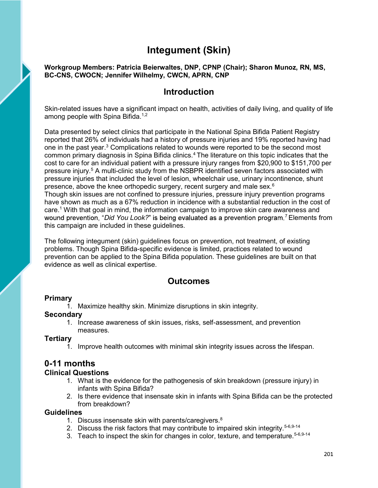# Integument (Skin)

Workgroup Members: Patricia Beierwaltes, DNP, CPNP (Chair); Sharon Munoz, RN, MS, BC-CNS, CWOCN; Jennifer Wilhelmy, CWCN, APRN, CNP

## Introduction

Skin-related issues have a significant impact on health, activities of daily living, and quality of life among people with Spina Bifida.<sup>1,2</sup>

Data presented by select clinics that participate in the National Spina Bifida Patient Registry reported that 26% of individuals had a history of pressure injuries and 19% reported having had one in the past year.<sup>3</sup> Complications related to wounds were reported to be the second most common primary diagnosis in Spina Bifida clinics.4 The literature on this topic indicates that the cost to care for an individual patient with a pressure injury ranges from \$20,900 to \$151,700 per pressure injury.<sup>5</sup> A multi-clinic study from the NSBPR identified seven factors associated with pressure injuries that included the level of lesion, wheelchair use, urinary incontinence, shunt presence, above the knee orthopedic surgery, recent surgery and male sex.<sup>6</sup> Though skin issues are not confined to pressure injuries, pressure injury prevention programs have shown as much as a 67% reduction in incidence with a substantial reduction in the cost of care.<sup>1</sup> With that goal in mind, the information campaign to improve skin care awareness and wound prevention, "Did You Look?" is being evaluated as a prevention program.<sup>7</sup> Elements from this campaign are included in these guidelines.

The following integument (skin) guidelines focus on prevention, not treatment, of existing problems. Though Spina Bifida-specific evidence is limited, practices related to wound prevention can be applied to the Spina Bifida population. These guidelines are built on that evidence as well as clinical expertise.

## **Outcomes**

#### **Primary**

1. Maximize healthy skin. Minimize disruptions in skin integrity.

#### **Secondary**

1. Increase awareness of skin issues, risks, self-assessment, and prevention measures.

### **Tertiary**

1. Improve health outcomes with minimal skin integrity issues across the lifespan.

## 0-11 months

### Clinical Questions

- 1. What is the evidence for the pathogenesis of skin breakdown (pressure injury) in infants with Spina Bifida?
- 2. Is there evidence that insensate skin in infants with Spina Bifida can be the protected from breakdown?

#### **Guidelines**

- 1. Discuss insensate skin with parents/caregivers. $8<sup>8</sup>$
- 2. Discuss the risk factors that may contribute to impaired skin integrity.  $5-6,9-14$
- 3. Teach to inspect the skin for changes in color, texture, and temperature. 5-6,9-14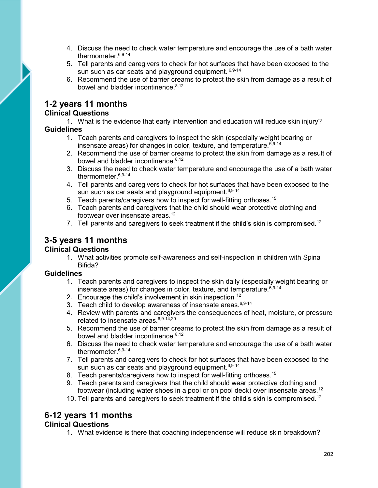- 4. Discuss the need to check water temperature and encourage the use of a bath water<br>thermometer.<sup>6,9-14</sup><br>5. Tell parents and caregivers to check for hot surfaces that have been exposed to the<br>sun such as car seats and pl thermometer. 6,9-14
- 5. Tell parents and caregivers to check for hot surfaces that have been exposed to the sun such as car seats and playground equipment. 6,9-14
- 6. Recommend the use of barrier creams to protect the skin from damage as a result of bowel and bladder incontinence.<sup>8,12</sup>

# 1-2 years 11 months

### Clinical Questions

1. What is the evidence that early intervention and education will reduce skin injury?

### **Guidelines**

- 1. Teach parents and caregivers to inspect the skin (especially weight bearing or insensate areas) for changes in color, texture, and temperature.  $6,9-14$
- 2. Recommend the use of barrier creams to protect the skin from damage as a result of bowel and bladder incontinence. 8,12
- 3. Discuss the need to check water temperature and encourage the use of a bath water thermometer.<sup>6,9-14</sup>
- 4. Tell parents and caregivers to check for hot surfaces that have been exposed to the sun such as car seats and playground equipment. 6,9-14
- 5. Teach parents/caregivers how to inspect for well-fitting orthoses.<sup>15</sup>
- 6. Teach parents and caregivers that the child should wear protective clothing and footwear over insensate areas.<sup>12</sup>
- 7. Tell parents and caregivers to seek treatment if the child's skin is compromised.<sup>12</sup>

# 3-5 years 11 months

### Clinical Questions

1. What activities promote self-awareness and self-inspection in children with Spina Bifida?

### Guidelines

- 1. Teach parents and caregivers to inspect the skin daily (especially weight bearing or insensate areas) for changes in color, texture, and temperature.  $6,9-14$
- 2. Encourage the child's involvement in skin inspection.<sup>12</sup>
- 3. Teach child to develop awareness of insensate areas.  $6,9-14$
- 4. Review with parents and caregivers the consequences of heat, moisture, or pressure related to insensate areas.<sup>6,9-14,20</sup>
- 5. Recommend the use of barrier creams to protect the skin from damage as a result of bowel and bladder incontinence. $8,12$
- 6. Discuss the need to check water temperature and encourage the use of a bath water thermometer.6,9-14
- 7. Tell parents and caregivers to check for hot surfaces that have been exposed to the sun such as car seats and playground equipment.  $6,9-14$
- 8. Teach parents/caregivers how to inspect for well-fitting orthoses.<sup>15</sup>
- 9. Teach parents and caregivers that the child should wear protective clothing and footwear (including water shoes in a pool or on pool deck) over insensate areas.<sup>12</sup>
- 10. Tell parents and caregivers to seek treatment if the child's skin is compromised.<sup>12</sup>

#### 6-12 years 11 months Clinical Questions

1. What evidence is there that coaching independence will reduce skin breakdown?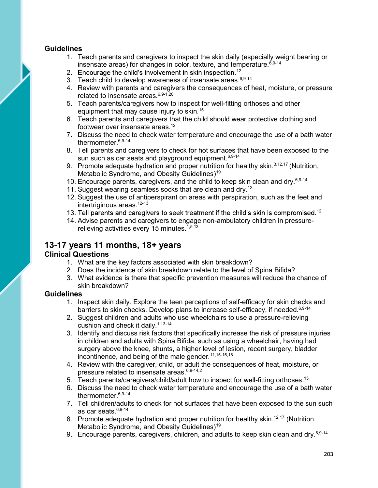### **Guidelines**

- 1. Teach parents and caregivers to inspect the skin daily (especially weight bearing or insensate areas) for changes in color, texture, and temperature. $6,9-14$
- 2. Encourage the child's involvement in skin inspection.<sup>12</sup>
- 3. Teach child to develop awareness of insensate areas.<sup>6,9-14</sup>
- 4. Review with parents and caregivers the consequences of heat, moisture, or pressure related to insensate areas.<sup>6,9-1,20</sup>
- 5. Teach parents/caregivers how to inspect for well-fitting orthoses and other equipment that may cause injury to skin.<sup>15</sup>
- 6. Teach parents and caregivers that the child should wear protective clothing and footwear over insensate areas.<sup>12</sup>
- 7. Discuss the need to check water temperature and encourage the use of a bath water thermometer. 6,9-14
- 8. Tell parents and caregivers to check for hot surfaces that have been exposed to the sun such as car seats and playground equipment.<sup>6,9-14</sup>
- 9. Promote adequate hydration and proper nutrition for healthy skin.<sup>3,12,17</sup> (Nutrition, Metabolic Syndrome, and Obesity Guidelines)<sup>19</sup>
- 10. Encourage parents, caregivers, and the child to keep skin clean and dry. $6,9-14$
- 11. Suggest wearing seamless socks that are clean and dry.<sup>12</sup>
- 12. Suggest the use of antiperspirant on areas with perspiration, such as the feet and intertriginous areas.<sup>12-13</sup>
- 13. Tell parents and caregivers to seek treatment if the child's skin is compromised.<sup>12</sup>
- 14. Advise parents and caregivers to engage non-ambulatory children in pressurerelieving activities every 15 minutes.  $1,5,13$

## 13-17 years 11 months, 18+ years

### Clinical Questions

- 1. What are the key factors associated with skin breakdown?
- 2. Does the incidence of skin breakdown relate to the level of Spina Bifida?
- 3. What evidence is there that specific prevention measures will reduce the chance of skin breakdown?

### **Guidelines**

- 1. Inspect skin daily. Explore the teen perceptions of self-efficacy for skin checks and barriers to skin checks. Develop plans to increase self-efficacy, if needed.<sup>6,9-14</sup>
- 2. Suggest children and adults who use wheelchairs to use a pressure-relieving cushion and check it daily.<sup>1,13-14</sup>
- 3. Identify and discuss risk factors that specifically increase the risk of pressure injuries in children and adults with Spina Bifida, such as using a wheelchair, having had surgery above the knee, shunts, a higher level of lesion, recent surgery, bladder incontinence, and being of the male gender.<sup>11,15-16,18</sup>
- 4. Review with the caregiver, child, or adult the consequences of heat, moisture, or pressure related to insensate areas.6,9-14,2
- 5. Teach parents/caregivers/child/adult how to inspect for well-fitting orthoses.<sup>15</sup>
- 6. Discuss the need to check water temperature and encourage the use of a bath water thermometer.6,9-14
- 7. Tell children/adults to check for hot surfaces that have been exposed to the sun such as car seats.<sup>6,9-14</sup>
- 8. Promote adequate hydration and proper nutrition for healthy skin.<sup>12,17</sup> (Nutrition, Metabolic Syndrome, and Obesity Guidelines)<sup>19</sup>
- 9. Encourage parents, caregivers, children, and adults to keep skin clean and dry. $6,9-14$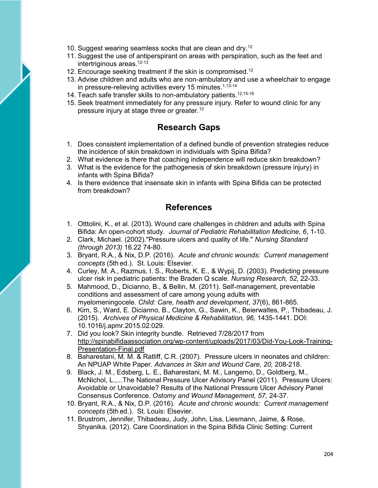- 
- 10. Suggest wearing seamless socks that are clean and dry.<sup>12</sup><br>11. Suggest the use of antiperspirant on areas with perspiration, such as the feet and<br>intertriginous areas.<sup>12-13</sup><br>12. Encourage seeking treatment if the ski 11. Suggest the use of antiperspirant on areas with perspiration, such as the feet and intertriginous areas.<sup>12-13</sup>
- 12. Encourage seeking treatment if the skin is compromised.<sup>12</sup>
- 13. Advise children and adults who are non-ambulatory and use a wheelchair to engage in pressure-relieving activities every 15 minutes.<sup>1,13-14</sup>
- 14. Teach safe transfer skills to non-ambulatory patients.12,15-16
- 15. Seek treatment immediately for any pressure injury. Refer to wound clinic for any pressure injury at stage three or greater.<sup>12</sup>

## Research Gaps

- 1. Does consistent implementation of a defined bundle of prevention strategies reduce the incidence of skin breakdown in individuals with Spina Bifida?
- 2. What evidence is there that coaching independence will reduce skin breakdown?
- 3. What is the evidence for the pathogenesis of skin breakdown (pressure injury) in infants with Spina Bifida?
- 4. Is there evidence that insensate skin in infants with Spina Bifida can be protected from breakdown?

### References

- 1. Otttolini, K., et al. (2013). Wound care challenges in children and adults with Spina Bifida: An open-cohort study. Journal of Pediatric Rehabilitation Medicine, 6, 1-10.
- 2. Clark, Michael. (2002)."Pressure ulcers and quality of life." Nursing Standard (through 2013) 16.22 74-80.
- 3. Bryant, R.A., & Nix, D.P. (2016). Acute and chronic wounds: Current management concepts (5th ed.). St. Louis: Elsevier.
- 4. Curley, M. A., Razmus, I. S., Roberts, K. E., & Wypij, D. (2003). Predicting pressure ulcer risk in pediatric patients: the Braden Q scale. Nursing Research, 52, 22-33.
- 5. Mahmood, D., Dicianno, B., & Bellin, M. (2011). Self management, preventable conditions and assessment of care among young adults with myelomeningocele. Child: Care, health and development, 37(6), 861-865.
- 6. Kim, S., Ward, E. Dicianno, B., Clayton, G., Sawin, K., Beierwaltes, P., Thibadeau, J. (2015). Archives of Physical Medicine & Rehabilitation, 96, 1435-1441. DOI: 10.1016/j.apmr.2015.02.029.
- 7. Did you look? Skin integrity bundle. Retrieved 7/28/2017 from http://spinabifidaassociation.org/wp-content/uploads/2017/03/Did-You-Look-Training-Presentation-Final.pdf
- 8. Baharestani, M. M. & Ratliff, C.R. (2007). Pressure ulcers in neonates and children: An NPUAP White Paper. Advances in Skin and Wound Care, 20, 208-218.
- 9. Black, J. M., Edsberg, L. E., Baharestani, M. M., Langemo, D., Goldberg, M., McNichol, L.,...The National Pressure Ulcer Advisory Panel (2011). Pressure Ulcers: Avoidable or Unavoidable? Results of the National Pressure Ulcer Advisory Panel Consensus Conference. Ostomy and Wound Management, 57, 24-37.
- 10. Bryant, R.A., & Nix, D.P. (2016). Acute and chronic wounds: Current management concepts (5th ed.). St. Louis: Elsevier.
- 11. Brustrom, Jennifer, Thibadeau, Judy, John, Lisa, Liesmann, Jaime, & Rose, Shyanika. (2012). Care Coordination in the Spina Bifida Clinic Setting: Current